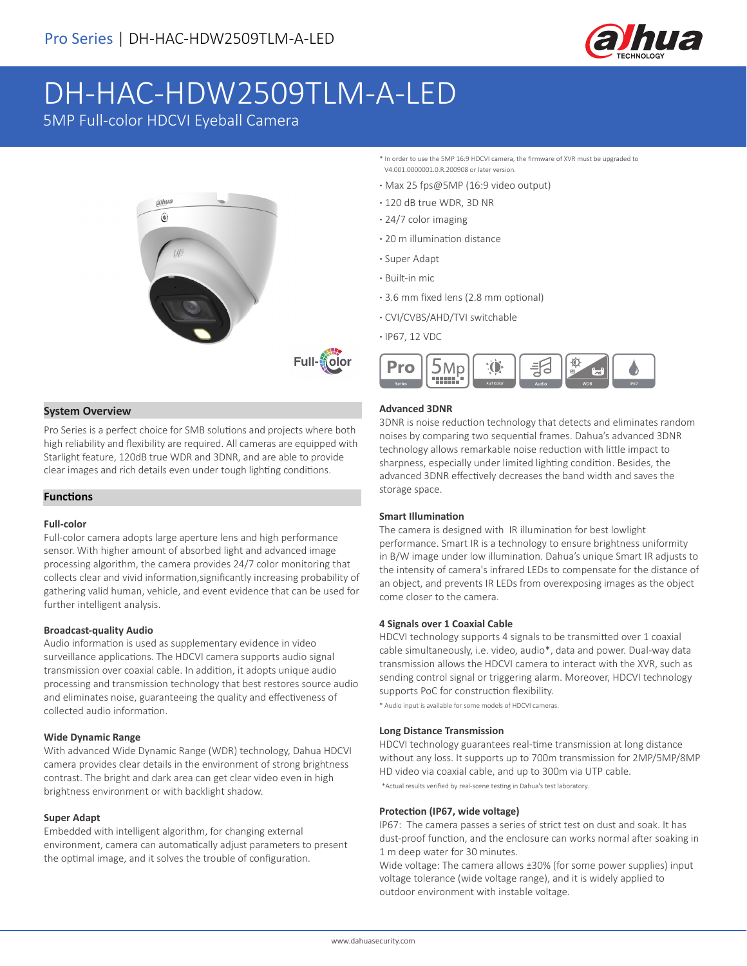

# DH-HAC-HDW2509TLM-A-LED

5MP Full-color HDCVI Eyeball Camera



## **System Overview**

Pro Series is a perfect choice for SMB solutions and projects where both high reliability and flexibility are required. All cameras are equipped with Starlight feature, 120dB true WDR and 3DNR, and are able to provide clear images and rich details even under tough lighting conditions.

## **Functions**

### **Full-color**

Full-color camera adopts large aperture lens and high performance sensor. With higher amount of absorbed light and advanced image processing algorithm, the camera provides 24/7 color monitoring that collects clear and vivid information,significantly increasing probability of gathering valid human, vehicle, and event evidence that can be used for further intelligent analysis.

#### **Broadcast-quality Audio**

Audio information is used as supplementary evidence in video surveillance applications. The HDCVI camera supports audio signal transmission over coaxial cable. In addition, it adopts unique audio processing and transmission technology that best restores source audio and eliminates noise, guaranteeing the quality and effectiveness of collected audio information.

#### **Wide Dynamic Range**

With advanced Wide Dynamic Range (WDR) technology, Dahua HDCVI camera provides clear details in the environment of strong brightness contrast. The bright and dark area can get clear video even in high brightness environment or with backlight shadow.

#### **Super Adapt**

Embedded with intelligent algorithm, for changing external environment, camera can automatically adjust parameters to present the optimal image, and it solves the trouble of configuration.

- \* In order to use the 5MP 16:9 HDCVI camera, the firmware of XVR must be upgraded to V4.001.0000001.0.R.200908 or later version.
- **·** Max 25 fps@5MP (16:9 video output)
- **·** 120 dB true WDR, 3D NR
- **·** 24/7 color imaging
- **·** 20 m illumination distance
- **·** Super Adapt
- **·** Built-in mic
- **·** 3.6 mm fixed lens (2.8 mm optional)
- **·** CVI/CVBS/AHD/TVI switchable
- **·** IP67, 12 VDC



## **Advanced 3DNR**

3DNR is noise reduction technology that detects and eliminates random noises by comparing two sequential frames. Dahua's advanced 3DNR technology allows remarkable noise reduction with little impact to sharpness, especially under limited lighting condition. Besides, the advanced 3DNR effectively decreases the band width and saves the storage space.

#### **Smart Illumination**

The camera is designed with IR illumination for best lowlight performance. Smart IR is a technology to ensure brightness uniformity in B/W image under low illumination. Dahua's unique Smart IR adjusts to the intensity of camera's infrared LEDs to compensate for the distance of an object, and prevents IR LEDs from overexposing images as the object come closer to the camera.

#### **4 Signals over 1 Coaxial Cable**

HDCVI technology supports 4 signals to be transmitted over 1 coaxial cable simultaneously, i.e. video, audio\*, data and power. Dual-way data transmission allows the HDCVI camera to interact with the XVR, such as sending control signal or triggering alarm. Moreover, HDCVI technology supports PoC for construction flexibility.

\* Audio input is available for some models of HDCVI cameras.

#### **Long Distance Transmission**

HDCVI technology guarantees real-time transmission at long distance without any loss. It supports up to 700m transmission for 2MP/5MP/8MP HD video via coaxial cable, and up to 300m via UTP cable.

\*Actual results verified by real-scene testing in Dahua's test laboratory.

#### **Protection (IP67, wide voltage)**

IP67: The camera passes a series of strict test on dust and soak. It has dust-proof function, and the enclosure can works normal after soaking in 1 m deep water for 30 minutes.

Wide voltage: The camera allows ±30% (for some power supplies) input voltage tolerance (wide voltage range), and it is widely applied to outdoor environment with instable voltage.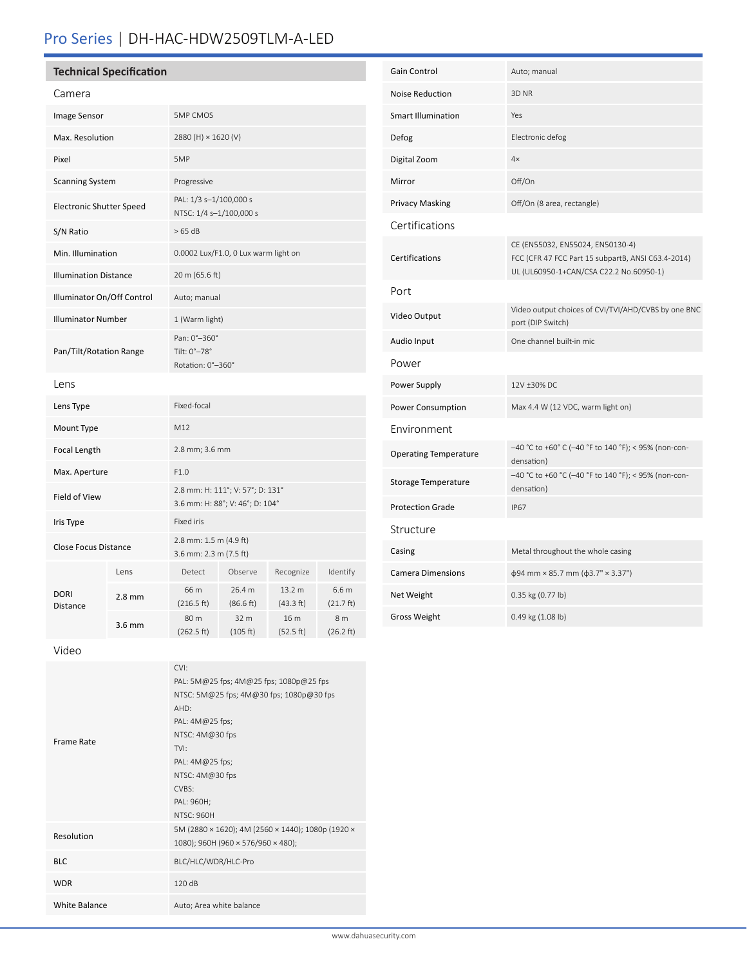# Pro Series | DH-HAC-HDW2509TLM-A-LED

# **Technical Specification**

| Camera                          |                  |                                                                     |                     |                     |                                         |
|---------------------------------|------------------|---------------------------------------------------------------------|---------------------|---------------------|-----------------------------------------|
| Image Sensor                    |                  | <b>5MP CMOS</b>                                                     |                     |                     |                                         |
| Max. Resolution                 |                  | 2880 (H) × 1620 (V)                                                 |                     |                     |                                         |
| Pixel                           |                  | 5MP                                                                 |                     |                     |                                         |
| <b>Scanning System</b>          |                  | Progressive                                                         |                     |                     |                                         |
| <b>Electronic Shutter Speed</b> |                  | PAL: 1/3 s-1/100,000 s<br>NTSC: 1/4 s-1/100,000 s                   |                     |                     |                                         |
| S/N Ratio                       |                  | >65 dB                                                              |                     |                     |                                         |
| Min. Illumination               |                  | 0.0002 Lux/F1.0, 0 Lux warm light on                                |                     |                     |                                         |
| <b>Illumination Distance</b>    |                  | 20 m (65.6 ft)                                                      |                     |                     |                                         |
| Illuminator On/Off Control      |                  | Auto; manual                                                        |                     |                     |                                         |
| <b>Illuminator Number</b>       |                  | 1 (Warm light)                                                      |                     |                     |                                         |
| Pan/Tilt/Rotation Range         |                  | Pan: 0°-360°<br>Tilt: 0°-78°<br>Rotation: 0°-360°                   |                     |                     |                                         |
| Lens                            |                  |                                                                     |                     |                     |                                         |
| Lens Type                       |                  | Fixed-focal                                                         |                     |                     |                                         |
| Mount Type                      |                  | M12                                                                 |                     |                     |                                         |
| Focal Length                    |                  | 2.8 mm; 3.6 mm                                                      |                     |                     |                                         |
| Max. Aperture                   |                  | F1.0                                                                |                     |                     |                                         |
| Field of View                   |                  | 2.8 mm: H: 111°; V: 57°; D: 131°<br>3.6 mm: H: 88°; V: 46°; D: 104° |                     |                     |                                         |
| Iris Type                       |                  | Fixed iris                                                          |                     |                     |                                         |
| <b>Close Focus Distance</b>     |                  | 2.8 mm: 1.5 m (4.9 ft)<br>3.6 mm: 2.3 m (7.5 ft)                    |                     |                     |                                         |
| <b>DORI</b><br>Distance         | Lens             | Detect                                                              | Observe             | Recognize           | Identify                                |
|                                 | $2.8$ mm         | 66 m<br>(216.5 ft)                                                  | 26.4 m<br>(86.6 ft) | 13.2 m<br>(43.3 ft) | 6.6 <sub>m</sub><br>$(21.7 \text{ ft})$ |
|                                 | $3.6 \text{ mm}$ | 80 m<br>(262.5 ft)                                                  | 32 m<br>(105 ft)    | 16 m<br>(52.5 ft)   | 8 m<br>(26.2 ft)                        |
|                                 |                  |                                                                     |                     |                     |                                         |

| Gain Control                 | Auto; manual                                                                                                                      |  |
|------------------------------|-----------------------------------------------------------------------------------------------------------------------------------|--|
| <b>Noise Reduction</b>       | 3D NR                                                                                                                             |  |
| <b>Smart Illumination</b>    | Yes                                                                                                                               |  |
| Defog                        | Electronic defog                                                                                                                  |  |
| Digital Zoom                 | 4x                                                                                                                                |  |
| Mirror                       | Off/On                                                                                                                            |  |
| Privacy Masking              | Off/On (8 area, rectangle)                                                                                                        |  |
| Certifications               |                                                                                                                                   |  |
| Certifications               | CE (EN55032, EN55024, EN50130-4)<br>FCC (CFR 47 FCC Part 15 subpartB, ANSI C63.4-2014)<br>UL (UL60950-1+CAN/CSA C22.2 No.60950-1) |  |
| Port                         |                                                                                                                                   |  |
| Video Output                 | Video output choices of CVI/TVI/AHD/CVBS by one BNC<br>port (DIP Switch)                                                          |  |
| Audio Input                  | One channel built-in mic                                                                                                          |  |
| Power                        |                                                                                                                                   |  |
| Power Supply                 | 12V ±30% DC                                                                                                                       |  |
| Power Consumption            | Max 4.4 W (12 VDC, warm light on)                                                                                                 |  |
| Environment                  |                                                                                                                                   |  |
| <b>Operating Temperature</b> | -40 °C to +60° C (-40 °F to 140 °F); < 95% (non-con-<br>densation)                                                                |  |
| Storage Temperature          | -40 °C to +60 °C (-40 °F to 140 °F); < 95% (non-con-<br>densation)                                                                |  |
| <b>Protection Grade</b>      | <b>IP67</b>                                                                                                                       |  |
| Structure                    |                                                                                                                                   |  |
| Casing                       | Metal throughout the whole casing                                                                                                 |  |
| <b>Camera Dimensions</b>     | $\phi$ 94 mm × 85.7 mm ( $\phi$ 3.7" × 3.37")                                                                                     |  |
| Net Weight                   | 0.35 kg (0.77 lb)                                                                                                                 |  |
| <b>Gross Weight</b>          | 0.49 kg (1.08 lb)                                                                                                                 |  |

Video

|                      | CVI:<br>PAL: 5M@25 fps; 4M@25 fps; 1080p@25 fps<br>NTSC: 5M@25 fps; 4M@30 fps; 1080p@30 fps                     |  |
|----------------------|-----------------------------------------------------------------------------------------------------------------|--|
| Frame Rate           | AHD:<br>PAL: 4M@25 fps;<br>NTSC: 4M@30 fps<br>TVI:<br>PAL: 4M@25 fps;<br>NTSC: 4M@30 fps<br>CVBS:<br>PAL: 960H; |  |
|                      | <b>NTSC: 960H</b>                                                                                               |  |
| Resolution           | 5M (2880 × 1620); 4M (2560 × 1440); 1080p (1920 ×<br>1080); 960H (960 × 576/960 × 480);                         |  |
| <b>BLC</b>           | BLC/HLC/WDR/HLC-Pro                                                                                             |  |
| <b>WDR</b>           | 120dB                                                                                                           |  |
| <b>White Balance</b> | Auto; Area white balance                                                                                        |  |
|                      |                                                                                                                 |  |